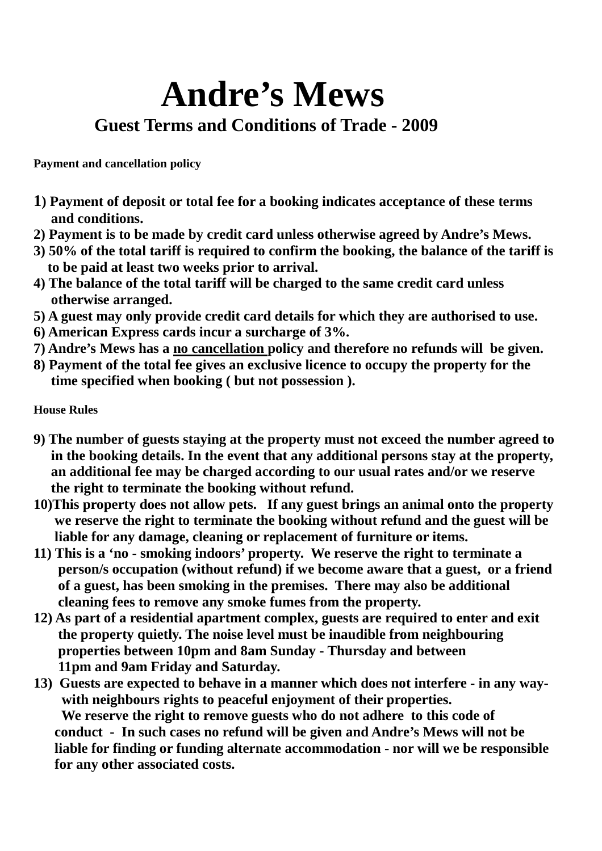## **Andre's Mews Guest Terms and Conditions of Trade - 2009**

**Payment and cancellation policy** 

- **1) Payment of deposit or total fee for a booking indicates acceptance of these terms and conditions.**
- **2) Payment is to be made by credit card unless otherwise agreed by Andre's Mews.**
- **3) 50% of the total tariff is required to confirm the booking, the balance of the tariff is to be paid at least two weeks prior to arrival.**
- **4) The balance of the total tariff will be charged to the same credit card unless otherwise arranged.**
- **5) A guest may only provide credit card details for which they are authorised to use.**
- **6) American Express cards incur a surcharge of 3%.**
- **7) Andre's Mews has a no cancellation policy and therefore no refunds will be given.**
- **8) Payment of the total fee gives an exclusive licence to occupy the property for the time specified when booking ( but not possession ).**

**House Rules** 

- **9) The number of guests staying at the property must not exceed the number agreed to in the booking details. In the event that any additional persons stay at the property, an additional fee may be charged according to our usual rates and/or we reserve the right to terminate the booking without refund.**
- **10)This property does not allow pets. If any guest brings an animal onto the property we reserve the right to terminate the booking without refund and the guest will be liable for any damage, cleaning or replacement of furniture or items.**
- **11) This is a 'no smoking indoors' property. We reserve the right to terminate a person/s occupation (without refund) if we become aware that a guest, or a friend of a guest, has been smoking in the premises. There may also be additional cleaning fees to remove any smoke fumes from the property.**
- **12) As part of a residential apartment complex, guests are required to enter and exit the property quietly. The noise level must be inaudible from neighbouring properties between 10pm and 8am Sunday - Thursday and between 11pm and 9am Friday and Saturday.**
- **13) Guests are expected to behave in a manner which does not interfere in any way with neighbours rights to peaceful enjoyment of their properties. We reserve the right to remove guests who do not adhere to this code of conduct - In such cases no refund will be given and Andre's Mews will not be liable for finding or funding alternate accommodation - nor will we be responsible for any other associated costs.**